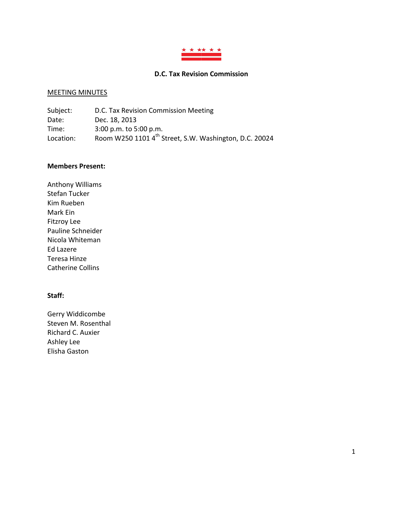

# **D.C. Tax Revision Commission**

#### MEETING MINUTES

| Subject:  | D.C. Tax Revision Commission Meeting                               |
|-----------|--------------------------------------------------------------------|
| Date:     | Dec. 18, 2013                                                      |
| Time:     | $3:00$ p.m. to 5:00 p.m.                                           |
| Location: | Room W250 1101 4 <sup>th</sup> Street, S.W. Washington, D.C. 20024 |

#### **Members Present:**

Anthony Williams Stefan Tucker Kim Rueben Mark Ein Fitzroy Lee Pauline Schneider Nicola Whiteman Ed Lazere Teresa Hinze Catherine Collins

# **Staff:**

Gerry Widdicombe Steven M. Rosenthal Richard C. Auxier Ashley Lee Elisha Gaston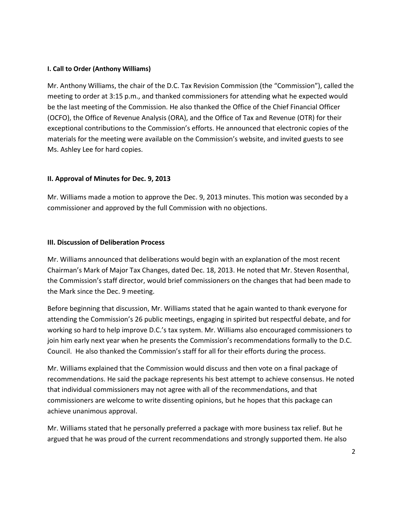#### **I. Call to Order (Anthony Williams)**

Mr. Anthony Williams, the chair of the D.C. Tax Revision Commission (the "Commission"), called the meeting to order at 3:15 p.m., and thanked commissioners for attending what he expected would be the last meeting of the Commission. He also thanked the Office of the Chief Financial Officer (OCFO), the Office of Revenue Analysis (ORA), and the Office of Tax and Revenue (OTR) for their exceptional contributions to the Commission's efforts. He announced that electronic copies of the materials for the meeting were available on the Commission's website, and invited guests to see Ms. Ashley Lee for hard copies.

# **II. Approval of Minutes for Dec. 9, 2013**

Mr. Williams made a motion to approve the Dec. 9, 2013 minutes. This motion was seconded by a commissioner and approved by the full Commission with no objections.

#### **III. Discussion of Deliberation Process**

Mr. Williams announced that deliberations would begin with an explanation of the most recent Chairman's Mark of Major Tax Changes, dated Dec. 18, 2013. He noted that Mr. Steven Rosenthal, the Commission's staff director, would brief commissioners on the changes that had been made to the Mark since the Dec. 9 meeting.

Before beginning that discussion, Mr. Williams stated that he again wanted to thank everyone for attending the Commission's 26 public meetings, engaging in spirited but respectful debate, and for working so hard to help improve D.C.'s tax system. Mr. Williams also encouraged commissioners to join him early next year when he presents the Commission's recommendations formally to the D.C. Council. He also thanked the Commission's staff for all for their efforts during the process.

Mr. Williams explained that the Commission would discuss and then vote on a final package of recommendations. He said the package represents his best attempt to achieve consensus. He noted that individual commissioners may not agree with all of the recommendations, and that commissioners are welcome to write dissenting opinions, but he hopes that this package can achieve unanimous approval.

Mr. Williams stated that he personally preferred a package with more business tax relief. But he argued that he was proud of the current recommendations and strongly supported them. He also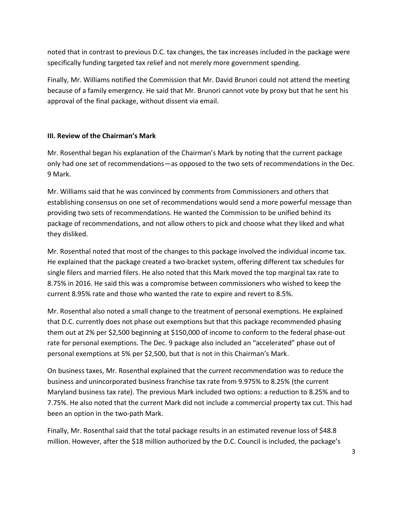noted that in contrast to previous D.C. tax changes, the tax increases included in the package were specifically funding targeted tax relief and not merely more government spending.

Finally, Mr. Williams notified the Commission that Mr. David Brunori could not attend the meeting because of a family emergency. He said that Mr. Brunori cannot vote by proxy but that he sent his approval of the final package, without dissent via email.

# **III. Review of the Chairman's Mark**

Mr. Rosenthal began his explanation of the Chairman's Mark by noting that the current package only had one set of recommendations—as opposed to the two sets of recommendations in the Dec. 9 Mark.

Mr. Williams said that he was convinced by comments from Commissioners and others that establishing consensus on one set of recommendations would send a more powerful message than providing two sets of recommendations. He wanted the Commission to be unified behind its package of recommendations, and not allow others to pick and choose what they liked and what they disliked.

Mr. Rosenthal noted that most of the changes to this package involved the individual income tax. He explained that the package created a two-bracket system, offering different tax schedules for single filers and married filers. He also noted that this Mark moved the top marginal tax rate to 8.75% in 2016. He said this was a compromise between commissioners who wished to keep the current 8.95% rate and those who wanted the rate to expire and revert to 8.5%.

Mr. Rosenthal also noted a small change to the treatment of personal exemptions. He explained that D.C. currently does not phase out exemptions but that this package recommended phasing them out at 2% per \$2,500 beginning at \$150,000 of income to conform to the federal phase-out rate for personal exemptions. The Dec. 9 package also included an "accelerated" phase out of personal exemptions at 5% per \$2,500, but that is not in this Chairman's Mark.

On business taxes, Mr. Rosenthal explained that the current recommendation was to reduce the business and unincorporated business franchise tax rate from 9.975% to 8.25% (the current Maryland business tax rate). The previous Mark included two options: a reduction to 8.25% and to 7.75%. He also noted that the current Mark did not include a commercial property tax cut. This had been an option in the two-path Mark.

Finally, Mr. Rosenthal said that the total package results in an estimated revenue loss of \$48.8 million. However, after the \$18 million authorized by the D.C. Council is included, the package's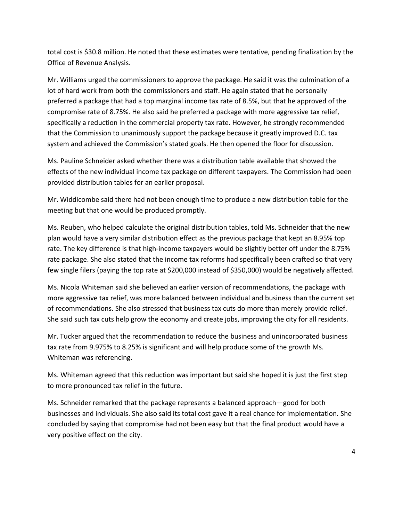total cost is \$30.8 million. He noted that these estimates were tentative, pending finalization by the Office of Revenue Analysis.

Mr. Williams urged the commissioners to approve the package. He said it was the culmination of a lot of hard work from both the commissioners and staff. He again stated that he personally preferred a package that had a top marginal income tax rate of 8.5%, but that he approved of the compromise rate of 8.75%. He also said he preferred a package with more aggressive tax relief, specifically a reduction in the commercial property tax rate. However, he strongly recommended that the Commission to unanimously support the package because it greatly improved D.C. tax system and achieved the Commission's stated goals. He then opened the floor for discussion.

Ms. Pauline Schneider asked whether there was a distribution table available that showed the effects of the new individual income tax package on different taxpayers. The Commission had been provided distribution tables for an earlier proposal.

Mr. Widdicombe said there had not been enough time to produce a new distribution table for the meeting but that one would be produced promptly.

Ms. Reuben, who helped calculate the original distribution tables, told Ms. Schneider that the new plan would have a very similar distribution effect as the previous package that kept an 8.95% top rate. The key difference is that high-income taxpayers would be slightly better off under the 8.75% rate package. She also stated that the income tax reforms had specifically been crafted so that very few single filers (paying the top rate at \$200,000 instead of \$350,000) would be negatively affected.

Ms. Nicola Whiteman said she believed an earlier version of recommendations, the package with more aggressive tax relief, was more balanced between individual and business than the current set of recommendations. She also stressed that business tax cuts do more than merely provide relief. She said such tax cuts help grow the economy and create jobs, improving the city for all residents.

Mr. Tucker argued that the recommendation to reduce the business and unincorporated business tax rate from 9.975% to 8.25% is significant and will help produce some of the growth Ms. Whiteman was referencing.

Ms. Whiteman agreed that this reduction was important but said she hoped it is just the first step to more pronounced tax relief in the future.

Ms. Schneider remarked that the package represents a balanced approach—good for both businesses and individuals. She also said its total cost gave it a real chance for implementation. She concluded by saying that compromise had not been easy but that the final product would have a very positive effect on the city.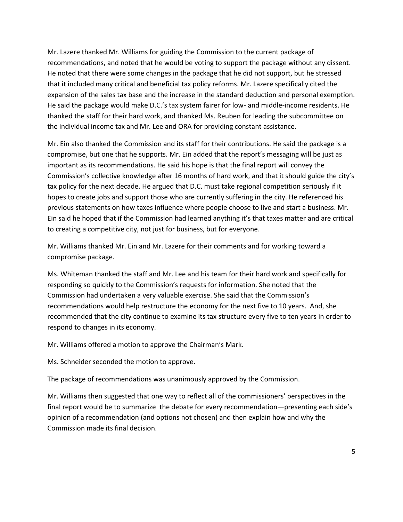Mr. Lazere thanked Mr. Williams for guiding the Commission to the current package of recommendations, and noted that he would be voting to support the package without any dissent. He noted that there were some changes in the package that he did not support, but he stressed that it included many critical and beneficial tax policy reforms. Mr. Lazere specifically cited the expansion of the sales tax base and the increase in the standard deduction and personal exemption. He said the package would make D.C.'s tax system fairer for low- and middle-income residents. He thanked the staff for their hard work, and thanked Ms. Reuben for leading the subcommittee on the individual income tax and Mr. Lee and ORA for providing constant assistance.

Mr. Ein also thanked the Commission and its staff for their contributions. He said the package is a compromise, but one that he supports. Mr. Ein added that the report's messaging will be just as important as its recommendations. He said his hope is that the final report will convey the Commission's collective knowledge after 16 months of hard work, and that it should guide the city's tax policy for the next decade. He argued that D.C. must take regional competition seriously if it hopes to create jobs and support those who are currently suffering in the city. He referenced his previous statements on how taxes influence where people choose to live and start a business. Mr. Ein said he hoped that if the Commission had learned anything it's that taxes matter and are critical to creating a competitive city, not just for business, but for everyone.

Mr. Williams thanked Mr. Ein and Mr. Lazere for their comments and for working toward a compromise package.

Ms. Whiteman thanked the staff and Mr. Lee and his team for their hard work and specifically for responding so quickly to the Commission's requests for information. She noted that the Commission had undertaken a very valuable exercise. She said that the Commission's recommendations would help restructure the economy for the next five to 10 years. And, she recommended that the city continue to examine its tax structure every five to ten years in order to respond to changes in its economy.

Mr. Williams offered a motion to approve the Chairman's Mark.

Ms. Schneider seconded the motion to approve.

The package of recommendations was unanimously approved by the Commission.

Mr. Williams then suggested that one way to reflect all of the commissioners' perspectives in the final report would be to summarize the debate for every recommendation—presenting each side's opinion of a recommendation (and options not chosen) and then explain how and why the Commission made its final decision.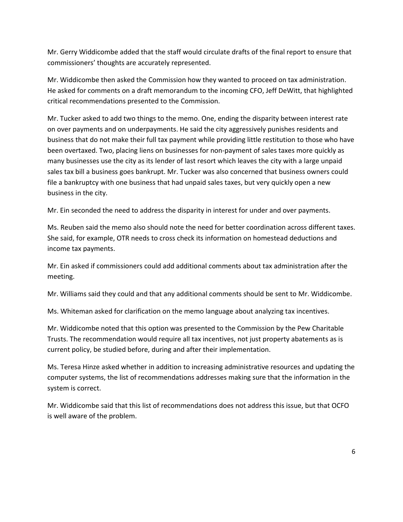Mr. Gerry Widdicombe added that the staff would circulate drafts of the final report to ensure that commissioners' thoughts are accurately represented.

Mr. Widdicombe then asked the Commission how they wanted to proceed on tax administration. He asked for comments on a draft memorandum to the incoming CFO, Jeff DeWitt, that highlighted critical recommendations presented to the Commission.

Mr. Tucker asked to add two things to the memo. One, ending the disparity between interest rate on over payments and on underpayments. He said the city aggressively punishes residents and business that do not make their full tax payment while providing little restitution to those who have been overtaxed. Two, placing liens on businesses for non-payment of sales taxes more quickly as many businesses use the city as its lender of last resort which leaves the city with a large unpaid sales tax bill a business goes bankrupt. Mr. Tucker was also concerned that business owners could file a bankruptcy with one business that had unpaid sales taxes, but very quickly open a new business in the city.

Mr. Ein seconded the need to address the disparity in interest for under and over payments.

Ms. Reuben said the memo also should note the need for better coordination across different taxes. She said, for example, OTR needs to cross check its information on homestead deductions and income tax payments.

Mr. Ein asked if commissioners could add additional comments about tax administration after the meeting.

Mr. Williams said they could and that any additional comments should be sent to Mr. Widdicombe.

Ms. Whiteman asked for clarification on the memo language about analyzing tax incentives.

Mr. Widdicombe noted that this option was presented to the Commission by the Pew Charitable Trusts. The recommendation would require all tax incentives, not just property abatements as is current policy, be studied before, during and after their implementation.

Ms. Teresa Hinze asked whether in addition to increasing administrative resources and updating the computer systems, the list of recommendations addresses making sure that the information in the system is correct.

Mr. Widdicombe said that this list of recommendations does not address this issue, but that OCFO is well aware of the problem.